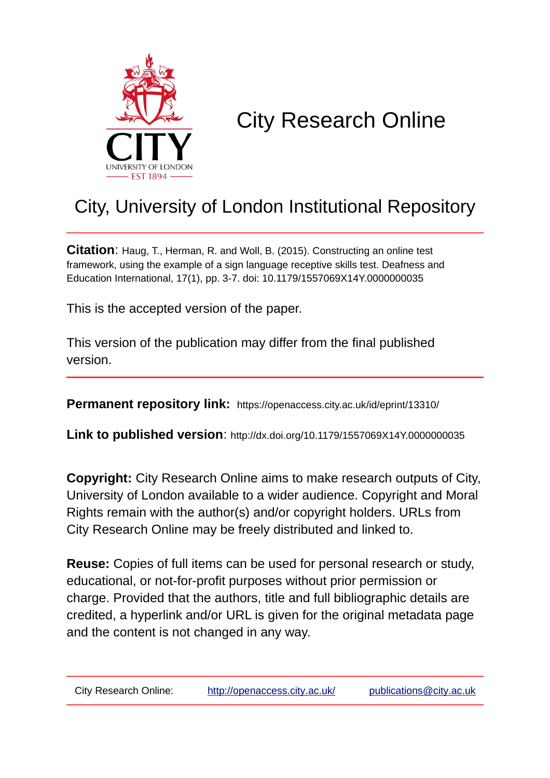

# City Research Online

# City, University of London Institutional Repository

**Citation**: Haug, T., Herman, R. and Woll, B. (2015). Constructing an online test framework, using the example of a sign language receptive skills test. Deafness and Education International, 17(1), pp. 3-7. doi: 10.1179/1557069X14Y.0000000035

This is the accepted version of the paper.

This version of the publication may differ from the final published version.

**Permanent repository link:** https://openaccess.city.ac.uk/id/eprint/13310/

**Link to published version**: http://dx.doi.org/10.1179/1557069X14Y.0000000035

**Copyright:** City Research Online aims to make research outputs of City, University of London available to a wider audience. Copyright and Moral Rights remain with the author(s) and/or copyright holders. URLs from City Research Online may be freely distributed and linked to.

**Reuse:** Copies of full items can be used for personal research or study, educational, or not-for-profit purposes without prior permission or charge. Provided that the authors, title and full bibliographic details are credited, a hyperlink and/or URL is given for the original metadata page and the content is not changed in any way.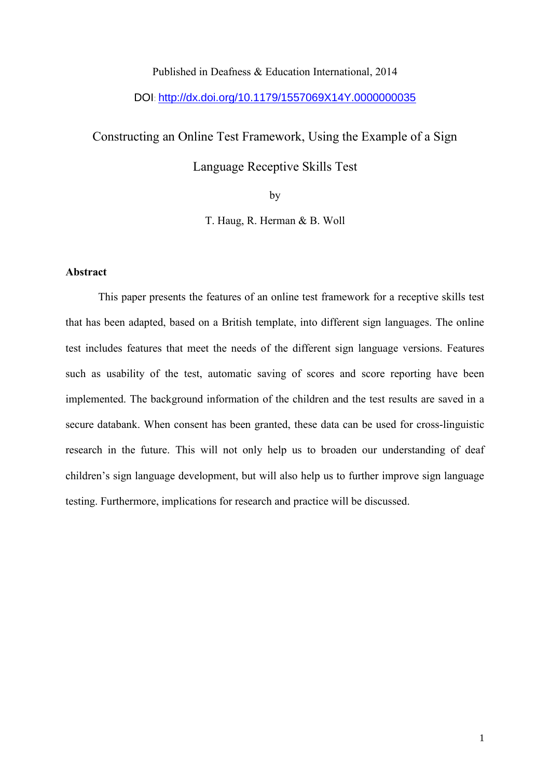#### Published in Deafness & Education International, 2014

# DOI: <http://dx.doi.org/10.1179/1557069X14Y.0000000035>

# Constructing an Online Test Framework, Using the Example of a Sign

# Language Receptive Skills Test

by

T. Haug, R. Herman & B. Woll

#### **Abstract**

This paper presents the features of an online test framework for a receptive skills test that has been adapted, based on a British template, into different sign languages. The online test includes features that meet the needs of the different sign language versions. Features such as usability of the test, automatic saving of scores and score reporting have been implemented. The background information of the children and the test results are saved in a secure databank. When consent has been granted, these data can be used for cross-linguistic research in the future. This will not only help us to broaden our understanding of deaf children's sign language development, but will also help us to further improve sign language testing. Furthermore, implications for research and practice will be discussed.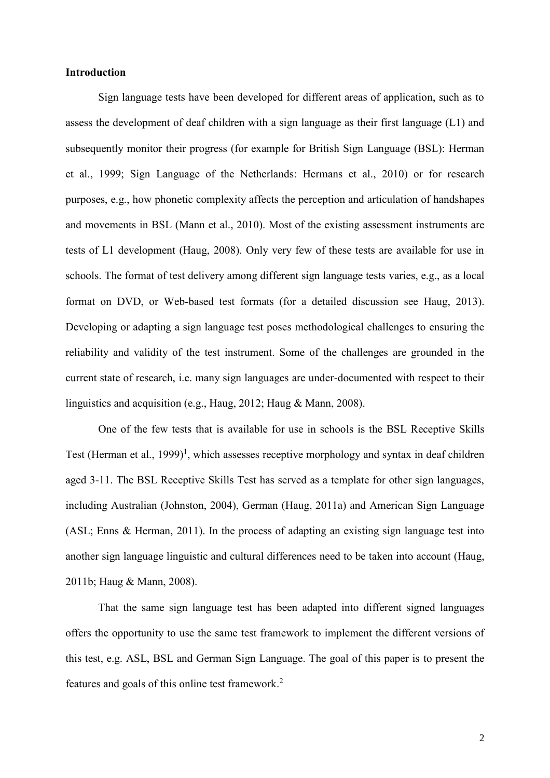### **Introduction**

Sign language tests have been developed for different areas of application, such as to assess the development of deaf children with a sign language as their first language (L1) and subsequently monitor their progress (for example for British Sign Language (BSL): Herman et al., 1999; Sign Language of the Netherlands: Hermans et al., 2010) or for research purposes, e.g., how phonetic complexity affects the perception and articulation of handshapes and movements in BSL (Mann et al., 2010). Most of the existing assessment instruments are tests of L1 development (Haug, 2008). Only very few of these tests are available for use in schools. The format of test delivery among different sign language tests varies, e.g., as a local format on DVD, or Web-based test formats (for a detailed discussion see Haug, 2013). Developing or adapting a sign language test poses methodological challenges to ensuring the reliability and validity of the test instrument. Some of the challenges are grounded in the current state of research, i.e. many sign languages are under-documented with respect to their linguistics and acquisition (e.g., Haug, 2012; Haug & Mann, 2008).

One of the few tests that is available for use in schools is the BSL Receptive Skills Test (Herman et al.,  $1999$ )<sup>1</sup>, which assesses receptive morphology and syntax in deaf children aged 3-11. The BSL Receptive Skills Test has served as a template for other sign languages, including Australian (Johnston, 2004), German (Haug, 2011a) and American Sign Language (ASL; Enns & Herman, 2011). In the process of adapting an existing sign language test into another sign language linguistic and cultural differences need to be taken into account (Haug, 2011b; Haug & Mann, 2008).

That the same sign language test has been adapted into different signed languages offers the opportunity to use the same test framework to implement the different versions of this test, e.g. ASL, BSL and German Sign Language. The goal of this paper is to present the features and goals of this online test framework. 2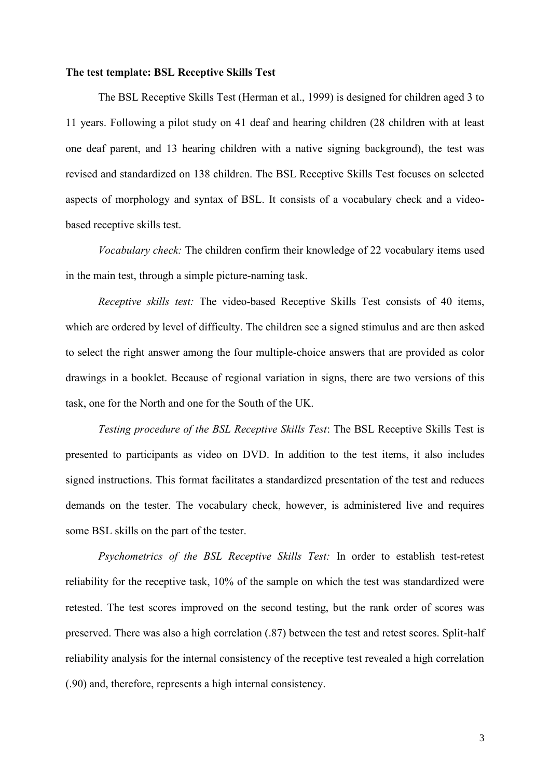#### **The test template: BSL Receptive Skills Test**

The BSL Receptive Skills Test (Herman et al., 1999) is designed for children aged 3 to 11 years. Following a pilot study on 41 deaf and hearing children (28 children with at least one deaf parent, and 13 hearing children with a native signing background), the test was revised and standardized on 138 children. The BSL Receptive Skills Test focuses on selected aspects of morphology and syntax of BSL. It consists of a vocabulary check and a videobased receptive skills test.

*Vocabulary check:* The children confirm their knowledge of 22 vocabulary items used in the main test, through a simple picture-naming task.

*Receptive skills test:* The video-based Receptive Skills Test consists of 40 items, which are ordered by level of difficulty. The children see a signed stimulus and are then asked to select the right answer among the four multiple-choice answers that are provided as color drawings in a booklet. Because of regional variation in signs, there are two versions of this task, one for the North and one for the South of the UK.

*Testing procedure of the BSL Receptive Skills Test*: The BSL Receptive Skills Test is presented to participants as video on DVD. In addition to the test items, it also includes signed instructions. This format facilitates a standardized presentation of the test and reduces demands on the tester. The vocabulary check, however, is administered live and requires some BSL skills on the part of the tester.

*Psychometrics of the BSL Receptive Skills Test:* In order to establish test-retest reliability for the receptive task, 10% of the sample on which the test was standardized were retested. The test scores improved on the second testing, but the rank order of scores was preserved. There was also a high correlation (.87) between the test and retest scores. Split-half reliability analysis for the internal consistency of the receptive test revealed a high correlation (.90) and, therefore, represents a high internal consistency.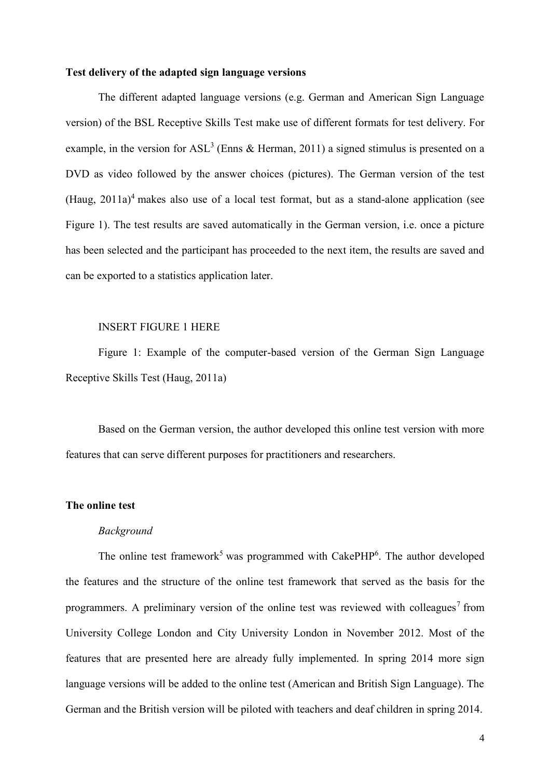#### **Test delivery of the adapted sign language versions**

The different adapted language versions (e.g. German and American Sign Language version) of the BSL Receptive Skills Test make use of different formats for test delivery. For example, in the version for  $ASL<sup>3</sup>$  (Enns & Herman, 2011) a signed stimulus is presented on a DVD as video followed by the answer choices (pictures). The German version of the test (Haug,  $2011a$ )<sup>4</sup> makes also use of a local test format, but as a stand-alone application (see Figure 1). The test results are saved automatically in the German version, i.e. once a picture has been selected and the participant has proceeded to the next item, the results are saved and can be exported to a statistics application later.

#### INSERT FIGURE 1 HERE

Figure 1: Example of the computer-based version of the German Sign Language Receptive Skills Test (Haug, 2011a)

Based on the German version, the author developed this online test version with more features that can serve different purposes for practitioners and researchers.

#### **The online test**

#### *Background*

The online test framework<sup>5</sup> was programmed with CakePHP<sup>6</sup>. The author developed the features and the structure of the online test framework that served as the basis for the programmers. A preliminary version of the online test was reviewed with colleagues<sup>7</sup> from University College London and City University London in November 2012. Most of the features that are presented here are already fully implemented. In spring 2014 more sign language versions will be added to the online test (American and British Sign Language). The German and the British version will be piloted with teachers and deaf children in spring 2014.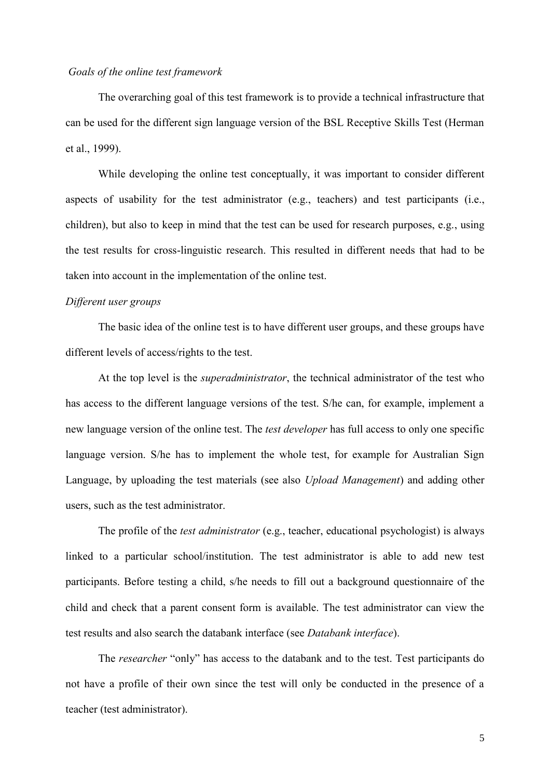#### *Goals of the online test framework*

The overarching goal of this test framework is to provide a technical infrastructure that can be used for the different sign language version of the BSL Receptive Skills Test (Herman et al., 1999).

While developing the online test conceptually, it was important to consider different aspects of usability for the test administrator (e.g., teachers) and test participants (i.e., children), but also to keep in mind that the test can be used for research purposes, e.g., using the test results for cross-linguistic research. This resulted in different needs that had to be taken into account in the implementation of the online test.

#### *Different user groups*

The basic idea of the online test is to have different user groups, and these groups have different levels of access/rights to the test.

At the top level is the *superadministrator*, the technical administrator of the test who has access to the different language versions of the test. S/he can, for example, implement a new language version of the online test. The *test developer* has full access to only one specific language version. S/he has to implement the whole test, for example for Australian Sign Language, by uploading the test materials (see also *Upload Management*) and adding other users, such as the test administrator.

The profile of the *test administrator* (e.g., teacher, educational psychologist) is always linked to a particular school/institution. The test administrator is able to add new test participants. Before testing a child, s/he needs to fill out a background questionnaire of the child and check that a parent consent form is available. The test administrator can view the test results and also search the databank interface (see *Databank interface*).

The *researcher* "only" has access to the databank and to the test. Test participants do not have a profile of their own since the test will only be conducted in the presence of a teacher (test administrator).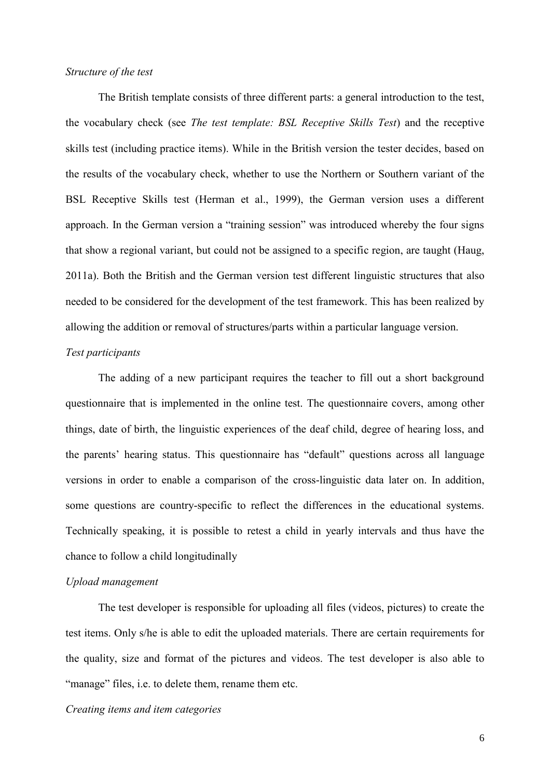#### *Structure of the test*

The British template consists of three different parts: a general introduction to the test, the vocabulary check (see *The test template: BSL Receptive Skills Test*) and the receptive skills test (including practice items). While in the British version the tester decides, based on the results of the vocabulary check, whether to use the Northern or Southern variant of the BSL Receptive Skills test (Herman et al., 1999), the German version uses a different approach. In the German version a "training session" was introduced whereby the four signs that show a regional variant, but could not be assigned to a specific region, are taught (Haug, 2011a). Both the British and the German version test different linguistic structures that also needed to be considered for the development of the test framework. This has been realized by allowing the addition or removal of structures/parts within a particular language version.

#### *Test participants*

The adding of a new participant requires the teacher to fill out a short background questionnaire that is implemented in the online test. The questionnaire covers, among other things, date of birth, the linguistic experiences of the deaf child, degree of hearing loss, and the parents' hearing status. This questionnaire has "default" questions across all language versions in order to enable a comparison of the cross-linguistic data later on. In addition, some questions are country-specific to reflect the differences in the educational systems. Technically speaking, it is possible to retest a child in yearly intervals and thus have the chance to follow a child longitudinally

# *Upload management*

The test developer is responsible for uploading all files (videos, pictures) to create the test items. Only s/he is able to edit the uploaded materials. There are certain requirements for the quality, size and format of the pictures and videos. The test developer is also able to "manage" files, i.e. to delete them, rename them etc.

#### *Creating items and item categories*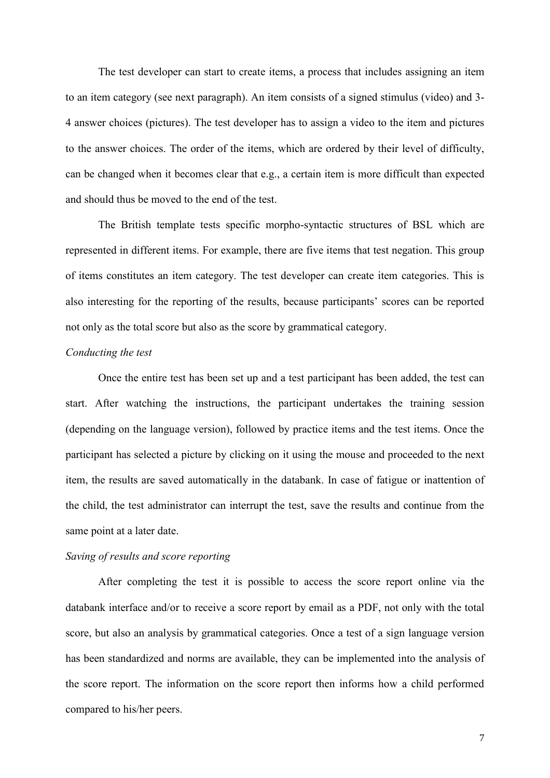The test developer can start to create items, a process that includes assigning an item to an item category (see next paragraph). An item consists of a signed stimulus (video) and 3- 4 answer choices (pictures). The test developer has to assign a video to the item and pictures to the answer choices. The order of the items, which are ordered by their level of difficulty, can be changed when it becomes clear that e.g., a certain item is more difficult than expected and should thus be moved to the end of the test.

The British template tests specific morpho-syntactic structures of BSL which are represented in different items. For example, there are five items that test negation. This group of items constitutes an item category. The test developer can create item categories. This is also interesting for the reporting of the results, because participants' scores can be reported not only as the total score but also as the score by grammatical category.

#### *Conducting the test*

Once the entire test has been set up and a test participant has been added, the test can start. After watching the instructions, the participant undertakes the training session (depending on the language version), followed by practice items and the test items. Once the participant has selected a picture by clicking on it using the mouse and proceeded to the next item, the results are saved automatically in the databank. In case of fatigue or inattention of the child, the test administrator can interrupt the test, save the results and continue from the same point at a later date.

#### *Saving of results and score reporting*

After completing the test it is possible to access the score report online via the databank interface and/or to receive a score report by email as a PDF, not only with the total score, but also an analysis by grammatical categories. Once a test of a sign language version has been standardized and norms are available, they can be implemented into the analysis of the score report. The information on the score report then informs how a child performed compared to his/her peers.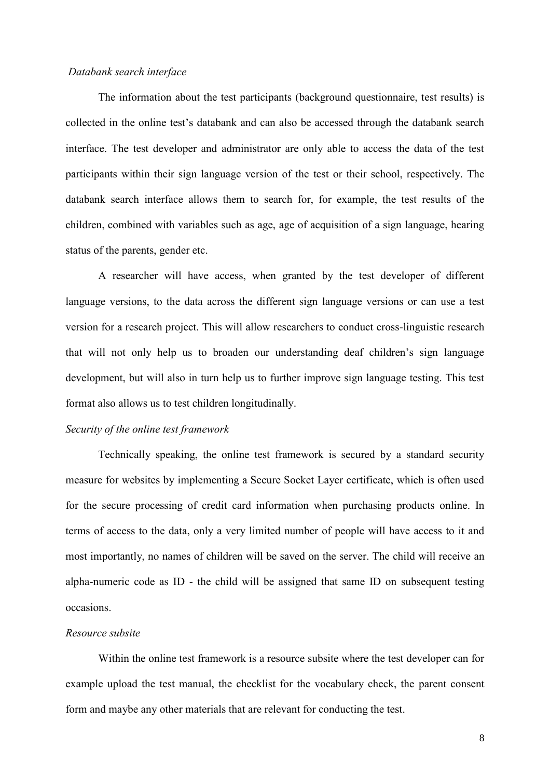#### *Databank search interface*

The information about the test participants (background questionnaire, test results) is collected in the online test's databank and can also be accessed through the databank search interface. The test developer and administrator are only able to access the data of the test participants within their sign language version of the test or their school, respectively. The databank search interface allows them to search for, for example, the test results of the children, combined with variables such as age, age of acquisition of a sign language, hearing status of the parents, gender etc.

A researcher will have access, when granted by the test developer of different language versions, to the data across the different sign language versions or can use a test version for a research project. This will allow researchers to conduct cross-linguistic research that will not only help us to broaden our understanding deaf children's sign language development, but will also in turn help us to further improve sign language testing. This test format also allows us to test children longitudinally.

#### *Security of the online test framework*

Technically speaking, the online test framework is secured by a standard security measure for websites by implementing a Secure Socket Layer certificate, which is often used for the secure processing of credit card information when purchasing products online. In terms of access to the data, only a very limited number of people will have access to it and most importantly, no names of children will be saved on the server. The child will receive an alpha-numeric code as ID - the child will be assigned that same ID on subsequent testing occasions.

#### *Resource subsite*

Within the online test framework is a resource subsite where the test developer can for example upload the test manual, the checklist for the vocabulary check, the parent consent form and maybe any other materials that are relevant for conducting the test.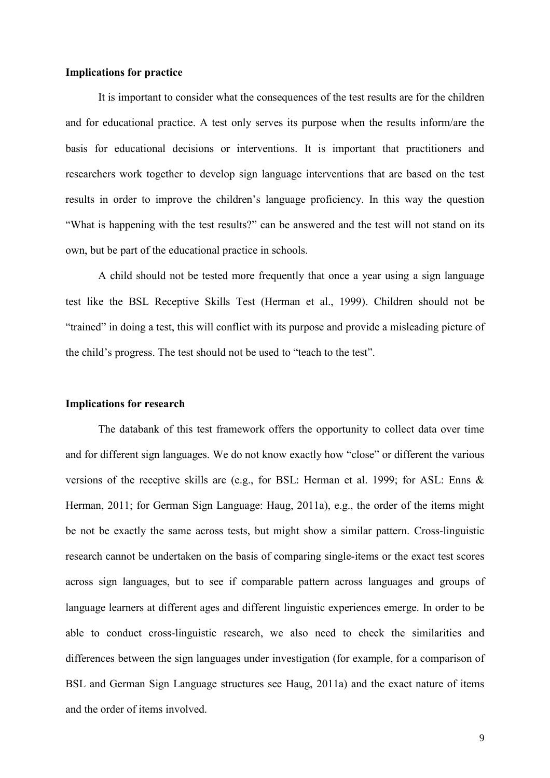#### **Implications for practice**

It is important to consider what the consequences of the test results are for the children and for educational practice. A test only serves its purpose when the results inform/are the basis for educational decisions or interventions. It is important that practitioners and researchers work together to develop sign language interventions that are based on the test results in order to improve the children's language proficiency. In this way the question "What is happening with the test results?" can be answered and the test will not stand on its own, but be part of the educational practice in schools.

A child should not be tested more frequently that once a year using a sign language test like the BSL Receptive Skills Test (Herman et al., 1999). Children should not be "trained" in doing a test, this will conflict with its purpose and provide a misleading picture of the child's progress. The test should not be used to "teach to the test".

#### **Implications for research**

The databank of this test framework offers the opportunity to collect data over time and for different sign languages. We do not know exactly how "close" or different the various versions of the receptive skills are (e.g., for BSL: Herman et al. 1999; for ASL: Enns & Herman, 2011; for German Sign Language: Haug, 2011a), e.g., the order of the items might be not be exactly the same across tests, but might show a similar pattern. Cross-linguistic research cannot be undertaken on the basis of comparing single-items or the exact test scores across sign languages, but to see if comparable pattern across languages and groups of language learners at different ages and different linguistic experiences emerge. In order to be able to conduct cross-linguistic research, we also need to check the similarities and differences between the sign languages under investigation (for example, for a comparison of BSL and German Sign Language structures see Haug, 2011a) and the exact nature of items and the order of items involved.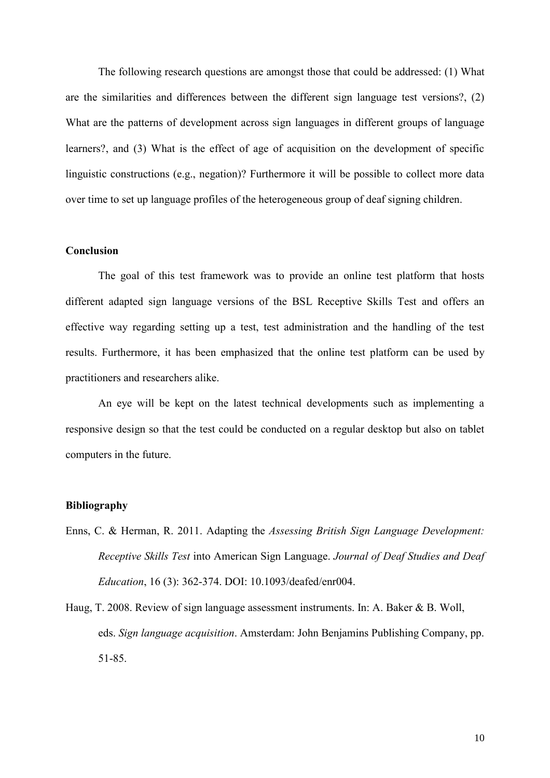The following research questions are amongst those that could be addressed: (1) What are the similarities and differences between the different sign language test versions?, (2) What are the patterns of development across sign languages in different groups of language learners?, and (3) What is the effect of age of acquisition on the development of specific linguistic constructions (e.g., negation)? Furthermore it will be possible to collect more data over time to set up language profiles of the heterogeneous group of deaf signing children.

#### **Conclusion**

The goal of this test framework was to provide an online test platform that hosts different adapted sign language versions of the BSL Receptive Skills Test and offers an effective way regarding setting up a test, test administration and the handling of the test results. Furthermore, it has been emphasized that the online test platform can be used by practitioners and researchers alike.

An eye will be kept on the latest technical developments such as implementing a responsive design so that the test could be conducted on a regular desktop but also on tablet computers in the future.

#### **Bibliography**

- Enns, C. & Herman, R. 2011. Adapting the *Assessing British Sign Language Development: Receptive Skills Test* into American Sign Language. *Journal of Deaf Studies and Deaf Education*, 16 (3): 362-374. DOI: 10.1093/deafed/enr004.
- Haug, T. 2008. Review of sign language assessment instruments. In: A. Baker & B. Woll, eds. *Sign language acquisition*. Amsterdam: John Benjamins Publishing Company, pp. 51-85.